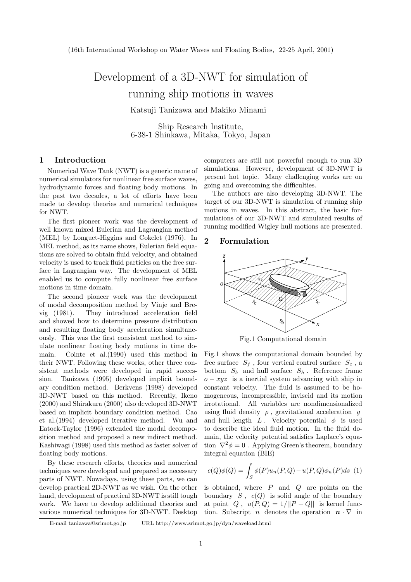# Development of a 3D-NWT for simulation of<br>running ship motions in waves Katsuji Tanizawa and Makiko Minami

Ship Research Institute, 6-38-1 Shinkawa, Mitaka, Tokyo, Japan

## **1 Introduction**

Numerical Wave Tank (NWT) is a generic name of numerical simulators for nonlinear free surface waves, hydrodynamic forces and floating body motions. In the past two decades, a lot of efforts have been made to develop theories and numerical techniques for NWT.

The first pioneer work was the development of well known mixed Eulerian and Lagrangian method (MEL) by Longuet-Higgins and Cokelet (1976). In MEL method, as its name shows, Eulerian field equations are solved to obtain fluid velocity, and obtained velocity is used to track fluid particles on the free surface in Lagrangian way. The development of MEL enabled us to compute fully nonlinear free surface motions in time domain.

The second pioneer work was the development of modal decomposition method by Vinje and Brevig (1981). They introduced acceleration field and showed how to determine pressure distribution and resulting floating body acceleration simultaneously. This was the first consistent method to simulate nonlinear floating body motions in time domain. Cointe et al.(1990) used this method in their NWT. Following these works, other three consistent methods were developed in rapid succession. Tanizawa (1995) developed implicit boundary condition method. Berkvens (1998) developed 3D-NWT based on this method. Recently, Ikeno (2000) and Shirakura (2000) also developed 3D-NWT based on implicit boundary condition method. Cao et al.(1994) developed iterative method. Wu and Eatock-Taylor (1996) extended the modal decomposition method and proposed a new indirect method. Kashiwagi (1998) used this method as faster solver of floating body motions.

By these research efforts, theories and numerical techniques were developed and prepared as necessary parts of NWT. Nowadays, using these parts, we can develop practical 2D-NWT as we wish. On the other hand, development of practical 3D-NWT is still tough work. We have to develop additional theories and various numerical techniques for 3D-NWT. Desktop computers are still not powerful enough to run 3D simulations. However, development of 3D-NWT is present hot topic. Many challenging works are on going and overcoming the difficulties.

The authors are also developing 3D-NWT. The target of our 3D-NWT is simulation of running ship motions in waves. In this abstract, the basic formulations of our 3D-NWT and simulated results of running modified Wigley hull motions are presented.

## **2 Formulation**



Fig.1 Computational domain

Fig.1 shows the computational domain bounded by free surface  $S_f$ , four vertical control surface  $S_c$ , a bottom  $S_b$  and hull surface  $S_h$ . Reference frame  $o - xyz$  is a inertial system advancing with ship in constant velocity. The fluid is assumed to be homogeneous, incompressible, inviscid and its motion irrotational. All variables are nondimensionalized using fluid density  $\rho$ , gravitational acceleration g and hull length L. Velocity potential  $\phi$  is used to describe the ideal fluid motion. In the fluid domain, the velocity potential satisfies Laplace's equation  $\nabla^2 \phi = 0$ . Applying Green's theorem, boundary integral equation (BIE)

$$
c(Q)\phi(Q) = \int_{S} \phi(P)u_n(P,Q) - u(P,Q)\phi_n(P)ds \tag{1}
$$

is obtained, where  $P$  and  $Q$  are points on the boundary  $S$ ,  $c(Q)$  is solid angle of the boundary at point  $Q$ ,  $u(P,Q) = 1/||P - Q||$  is kernel function. Subscript *n* denotes the operation  $\mathbf{n} \cdot \nabla$  in

E-mail tanizawa@srimot.go.jp URL http://www.srimot.go.jp/dyn/waveload.html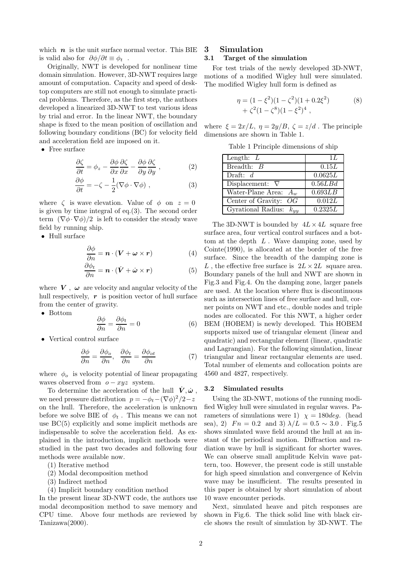which  $n$  is the unit surface normal vector. This BIE is valid also for  $\partial \phi / \partial t \equiv \phi_t$ .

Originally, NWT is developed for nonlinear time domain simulation. However, 3D-NWT requires large amount of computation. Capacity and speed of desktop computers are still not enough to simulate practical problems. Therefore, as the first step, the authors developed a linearized 3D-NWT to test various ideas by trial and error. In the linear NWT, the boundary shape is fixed to the mean position of oscillation and following boundary conditions (BC) for velocity field and acceleration field are imposed on it.

• Free surface

$$
\frac{\partial \zeta}{\partial t} = \phi_z - \frac{\partial \phi}{\partial x} \frac{\partial \zeta}{\partial x} - \frac{\partial \phi}{\partial y} \frac{\partial \zeta}{\partial y} , \qquad (2)
$$

$$
\frac{\partial \phi}{\partial t} = -\zeta - \frac{1}{2} (\nabla \phi \cdot \nabla \phi) , \qquad (3)
$$

where  $\zeta$  is wave elevation. Value of  $\phi$  on  $z = 0$ is given by time integral of eq.(3). The second order term  $(\nabla \phi \cdot \nabla \phi)/2$  is left to consider the steady wave field by running ship.

• Hull surface

$$
\frac{\partial \phi}{\partial n} = \boldsymbol{n} \cdot (\boldsymbol{V} + \boldsymbol{\omega} \times \boldsymbol{r}) \tag{4}
$$

$$
\frac{\partial \phi_t}{\partial n} = \boldsymbol{n} \cdot (\dot{\boldsymbol{V}} + \dot{\boldsymbol{\omega}} \times \boldsymbol{r}) \tag{5}
$$

where  $V$ ,  $\omega$  are velocity and angular velocity of the hull respectively, r is position vector of hull surface from the center of gravity.

• Bottom

$$
\frac{\partial \phi}{\partial n} = \frac{\partial \phi_t}{\partial n} = 0 \tag{6}
$$

• Vertical control surface

$$
\frac{\partial \phi}{\partial n} = \frac{\partial \phi_o}{\partial n}, \quad \frac{\partial \phi_t}{\partial n} = \frac{\partial \phi_{ot}}{\partial n}
$$
(7)

where  $\phi_o$  is velocity potential of linear propagating waves observed from  $o - xyz$  system.

To determine the acceleration of the hull  $\dot{V}, \dot{\omega}$ , we need pressure distribution  $p = -\phi_t - (\nabla \phi)^2/2 - z$ on the hull. Therefore, the acceleration is unknown before we solve BIE of  $\phi_t$ . This means we can not use BC(5) explicitly and some implicit methods are indispensable to solve the acceleration field. As explained in the introduction, implicit methods were studied in the past two decades and following four methods were available now.

- (1) Iterative method
- (2) Modal decomposition method
- (3) Indirect method
- (4) Implicit boundary condition method

In the present linear 3D-NWT code, the authors use modal decomposition method to save memory and CPU time. Above four methods are reviewed by Tanizawa(2000).

#### **3 Simulation 3.1 Target of the simulation**

For test trials of the newly developed 3D-NWT, motions of a modified Wigley hull were simulated. The modified Wigley hull form is defined as

$$
\eta = (1 - \xi^2)(1 - \zeta^2)(1 + 0.2\xi^2) \n+ \zeta^2(1 - \zeta^8)(1 - \xi^2)^4,
$$
\n(8)

where  $\xi = 2x/L$ ,  $\eta = 2y/B$ ,  $\zeta = z/d$ . The principle dimensions are shown in Table 1.

Table 1 Principle dimensions of ship

| Length: $L$                                   | 1L      |
|-----------------------------------------------|---------|
| Breadth: $B$                                  | 0.15L   |
| Draft: $d$                                    | 0.0625L |
| $\overline{\mathrm{Displacement}}$ : $\nabla$ | 0.56LBd |
| Water-Plane Area:<br>$A_w$                    | 0.693LB |
| Center of Gravity: $OG$                       | 0.012L  |
| Gyrational Radius: $k_{yy}$                   | 0.2325L |

The 3D-NWT is bounded by  $4L \times 4L$  square free surface area, four vertical control surfaces and a bottom at the depth  $L$ . Wave damping zone, used by Cointe(1990), is allocated at the border of the free surface. Since the breadth of the damping zone is L, the effective free surface is  $2L \times 2L$  square area. Boundary panels of the hull and NWT are shown in Fig.3 and Fig.4. On the damping zone, larger panels are used. At the location where flux is discontinuous such as intersection lines of free surface and hull, corner points on NWT and etc., double nodes and triple nodes are collocated. For this NWT, a higher order BEM (HOBEM) is newly developed. This HOBEM supports mixed use of triangular element (linear and quadratic) and rectangular element (linear, quadratic and Lagrangian). For the following simulation, linear triangular and linear rectangular elements are used. Total number of elements and collocation points are 4560 and 4827, respectively.

#### **3.2 Simulated results**

Using the 3D-NWT, motions of the running modified Wigley hull were simulated in regular waves. Parameters of simulations were 1)  $\chi = 180deg$ . (head sea), 2)  $Fn = 0.2$  and 3)  $\lambda/L = 0.5 \sim 3.0$ . Fig.5 shows simulated wave field around the hull at an instant of the periodical motion. Diffraction and radiation wave by hull is significant for shorter waves. We can observe small amplitude Kelvin wave pattern, too. However, the present code is still unstable for high speed simulation and convergence of Kelvin wave may be insufficient. The results presented in this paper is obtained by short simulation of about 10 wave encounter periods.

Next, simulated heave and pitch responses are shown in Fig.6. The thick solid line with black circle shows the result of simulation by 3D-NWT. The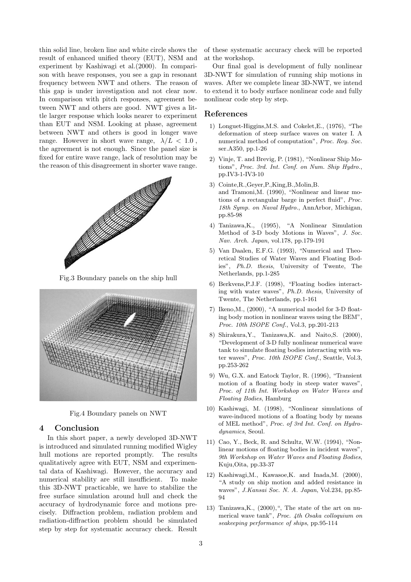thin solid line, broken line and white circle shows the result of enhanced unified theory (EUT), NSM and experiment by Kashiwagi et al.(2000). In comparison with heave responses, you see a gap in resonant frequency between NWT and others. The reason of this gap is under investigation and not clear now. In comparison with pitch responses, agreement between NWT and others are good. NWT gives a little larger response which looks nearer to experiment than EUT and NSM. Looking at phase, agreement between NWT and others is good in longer wave range. However in short wave range,  $\lambda/L < 1.0$ , the agreement is not enough. Since the panel size is fixed for entire wave range, lack of resolution may be the reason of this disagreement in shorter wave range.



Fig.3 Boundary panels on the ship hull



Fig.4 Boundary panels on NWT

### **4 Conclusion**

In this short paper, a newly developed 3D-NWT is introduced and simulated running modified Wigley hull motions are reported promptly. The results qualitatively agree with EUT, NSM and experimental data of Kashiwagi. However, the accuracy and numerical stability are still insufficient. To make this 3D-NWT practicable, we have to stabilize the free surface simulation around hull and check the accuracy of hydrodynamic force and motions precisely. Diffraction problem, radiation problem and radiation-diffraction problemshould be simulated step by step for systematic accuracy check. Result

of these systematic accuracy check will be reported at the workshop.

Our final goal is development of fully nonlinear 3D-NWT for simulation of running ship motions in waves. After we complete linear 3D-NWT, we intend to extend it to body surface nonlinear code and fully nonlinear code step by step.

### **References**

- 1) Longuet-Higgins,M.S. and Cokelet,E., (1976), "The deformation of steep surface waves on water I. A numerical method of computation", *Proc. Roy. Soc.* ser.A350, pp.1-26
- 2) Vinje, T. and Brevig, P. (1981), "Nonlinear Ship Motions", *Proc. 3rd. Int. Conf. on Num. Ship Hydro.*, pp.IV3-1-IV3-10
- 3) Cointe,R.,Geyer,P.,King,B.,Molin,B. and Tramoni,M. (1990), "Nonlinear and linear motions of a rectangular barge in perfect fluid", *Proc. 18th Symp. on Naval Hydro.*, AnnArbor, Michigan, pp.85-98
- 4) Tanizawa,K., (1995), "A Nonlinear Simulation Method of 3-D body Motions in Waves", *J. Soc. Nav. Arch. Japan*, vol.178, pp.179-191
- 5) Van Daalen, E.F.G. (1993), "Numerical and Theoretical Studies of Water Waves and Floating Bodies", *Ph.D. thesis*, University of Twente, The Netherlands, pp.1-285
- 6) Berkvens,P.J.F. (1998), "Floating bodies interacting with water waves", *Ph.D. thesis*, University of Twente, The Netherlands, pp.1-161
- 7) Ikeno,M., (2000), "A numerical model for 3-D floating body motion in nonlinear waves using the BEM", *Proc. 10th ISOPE Conf.*, Vol.3, pp.201-213
- 8) Shirakura,Y., Tanizawa,K. and Naito,S. (2000), "Development of 3-D fully nonlinear numerical wave tank to simulate floating bodies interacting with water waves", *Proc. 10th ISOPE Conf.*, Seattle, Vol.3, pp.253-262
- 9) Wu, G.X. and Eatock Taylor, R. (1996), "Transient motion of a floating body in steep water waves", *Proc. of 11th Int. Workshop on Water Waves and Floating Bodies*, Hamburg
- 10) Kashiwagi, M. (1998), "Nonlinear simulations of wave-induced motions of a floating body by means of MEL method", *Proc. of 3rd Int. Conf. on Hydrodynamics*, Seoul.
- 11) Cao, Y., Beck, R. and Schultz, W.W. (1994), "Nonlinear motions of floating bodies in incident waves", *9th Workshop on Water Waves and Floating Bodies*, Kuju,Oita, pp.33-37
- 12) Kashiwagi,M., Kawasoe,K. and Inada,M. (2000), "A study on ship motion and added resistance in waves", *J.Kansai Soc. N. A. Japan*, Vol.234, pp.85- 94
- 13) Tanizawa, K.,  $(2000)$ , ", The state of the art on numerical wave tank", *Proc. 4th Osaka colloquium on seakeeping performance of ships*, pp.95-114